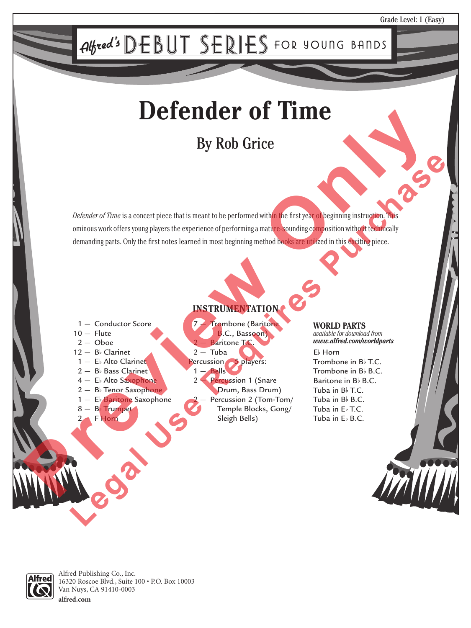#### T SERIES FOR YOUNG BANDS Alfred's  $\mathsf B$

# **Defender of Time**

By Rob Grice

*Defender of Time* is a concert piece that is meant to be performed within the first year of beginning instruction. This ominous work offers young players the experience of performing a mature-sounding composition without technically demanding parts. Only the first notes learned in most beginning method books are utilized in this exciting piece. **Preview of The Existence Department of the Existence Department of the Existence Department of the Existence Department of the Existence Department of the Construction of the Construction of the Construction of the Constr** Defender of Time is a concert piece that is meant to be performed with the stations of the system piece is the summaring spinter of the performed with the stations of the station of the stations of the stations of the stat

1 - Conductor Score

### $10 -$  Flute

- $2 -$  Oboe
- $12 B$ <sub>b</sub> Clarinet
- $1 E$  Alto Clarinet
- $2 B$  Bs Bass Clarinet
- 4 E<sub>b</sub> Alto Saxophone
- $2 B$  Tenor Saxophone
- E<sub>b</sub> Baritone Saxophone
- 8 B<sub>b</sub> Trumpet **F** Horn

# **INSTRUMENTATION**

7 - Trombone (Baritone B.C., Bassoon) **Baritone T.C.**  $2 -$ Tuba Percussion — 5 players:  $1 -$ Bells 2 - Percussion 1 (Snare Drum, Bass Drum)

Percussion 2 (Tom-Tom/ Temple Blocks, Gong/ Sleigh Bells)

## **WORLD PARTS**

*available for download from www.alfred.com/worldparts*

Eb Horn Trombone in B<sub>b</sub> T.C. Trombone in B<sub>b</sub> B.C. Baritone in B<sub>b</sub> B.C. Tuba in  $B$ <sub>b</sub> T.C. Tuba in  $B$ <sub>b</sub> B.C. Tuba in Eb T.C. Tuba in Eb B.C.

Alfred

Alfred Publishing Co., Inc. 16320 Roscoe Blvd., Suite 100 • P.O. Box 10003 Van Nuys, CA 91410-0003 **alfred.com**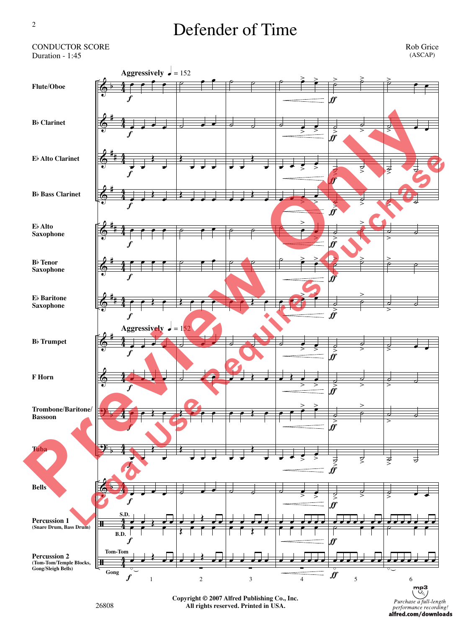# Defender of Time

2



Rob Grice (ASCAP)

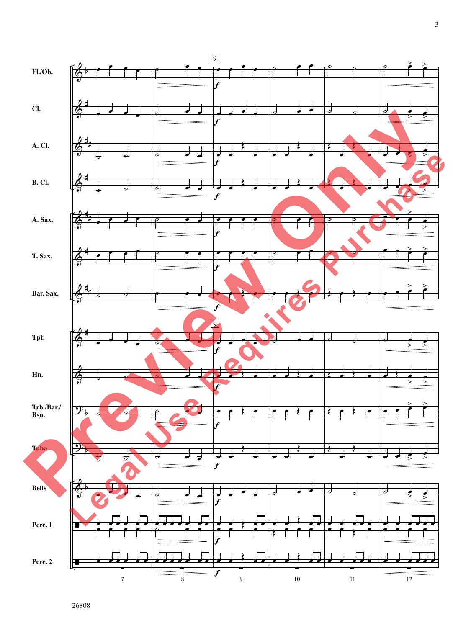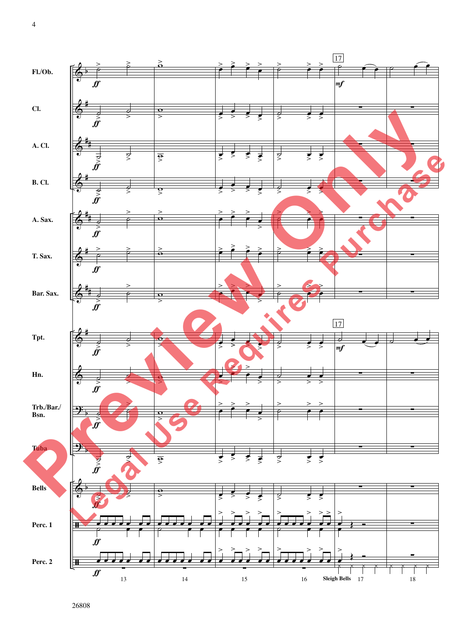

 $\overline{4}$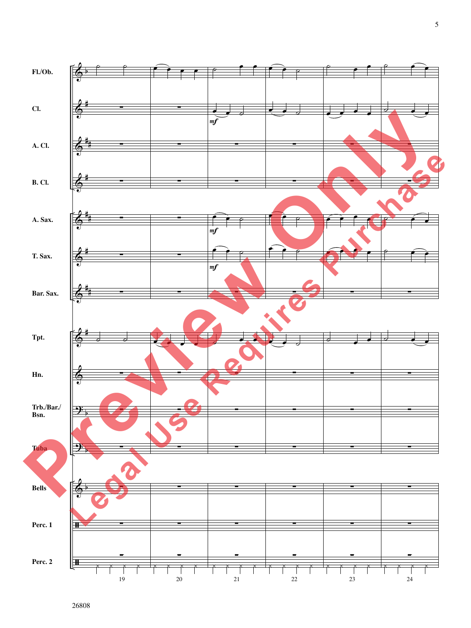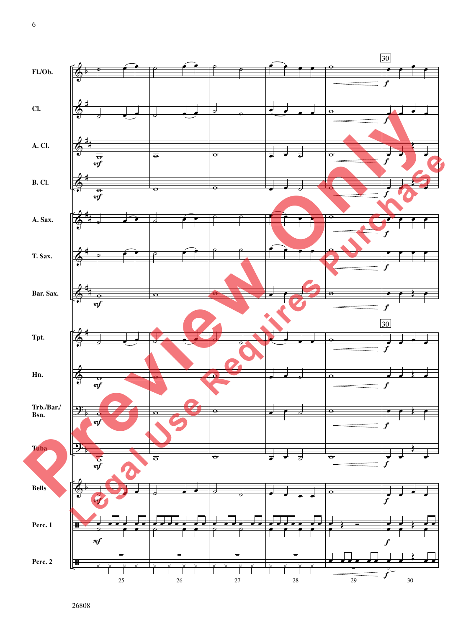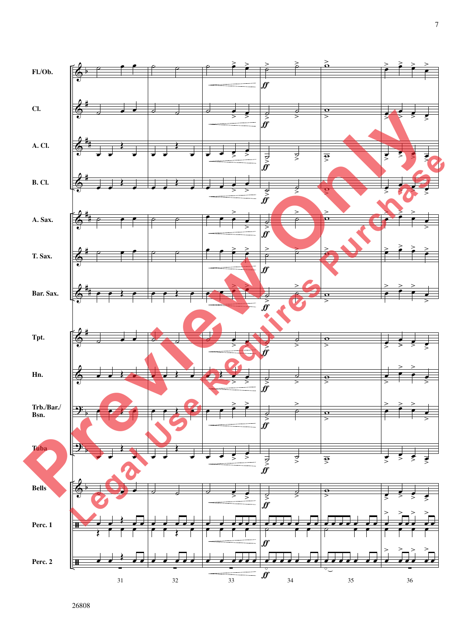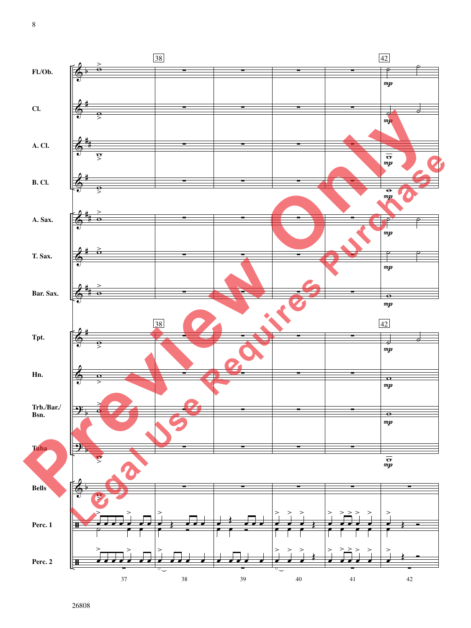

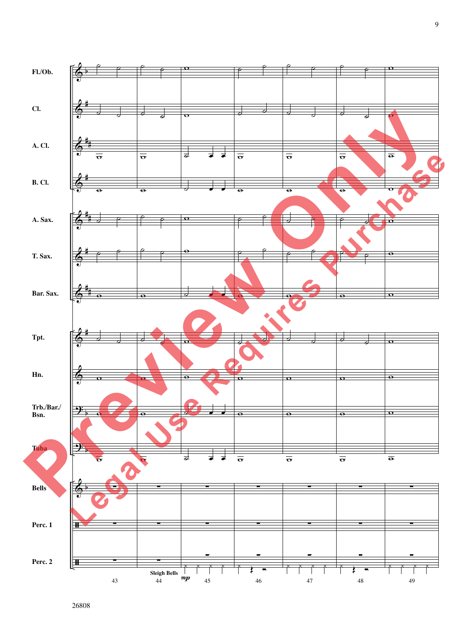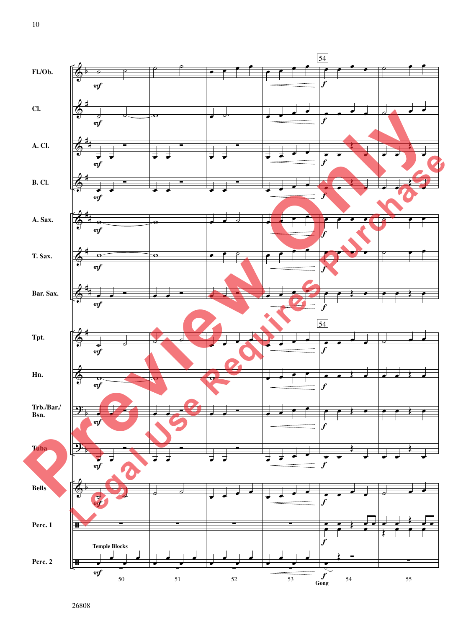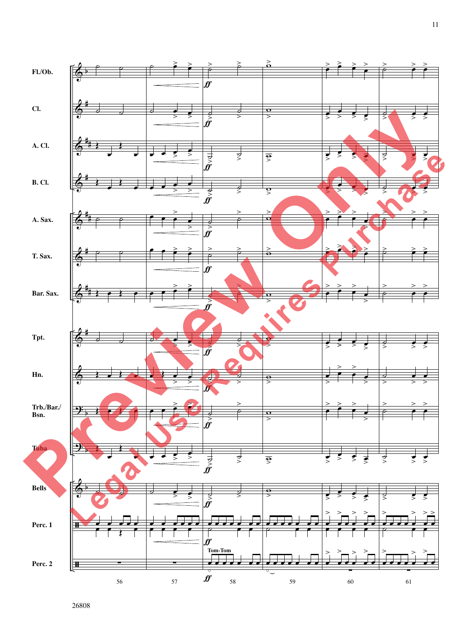